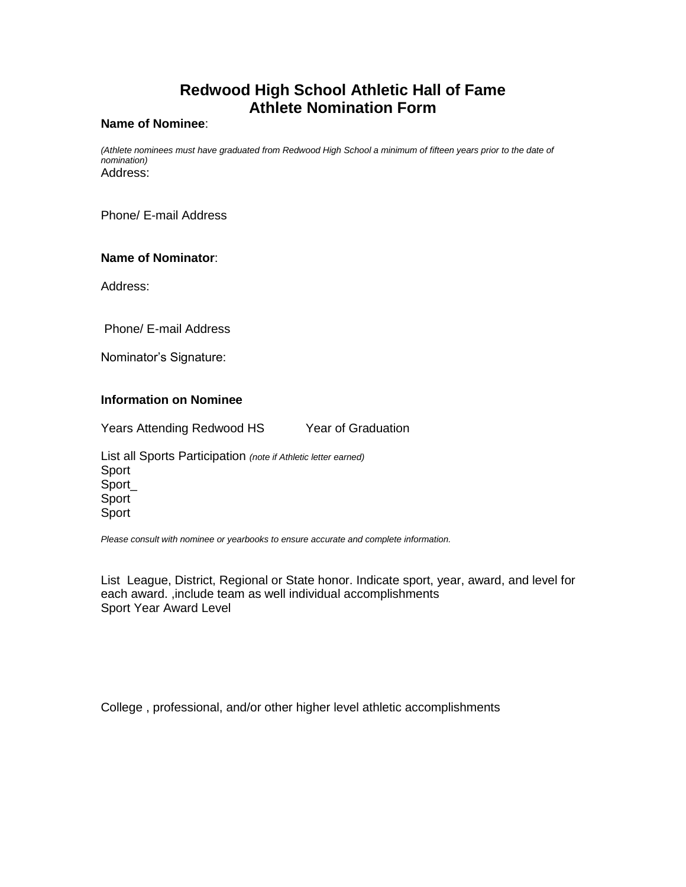# **Redwood High School Athletic Hall of Fame Athlete Nomination Form**

#### **Name of Nominee**:

*(Athlete nominees must have graduated from Redwood High School a minimum of fifteen years prior to the date of nomination)* Address:

Phone/ E-mail Address

## **Name of Nominator**:

Address:

Phone/ E-mail Address

Nominator's Signature:

#### **Information on Nominee**

Years Attending Redwood HS Year of Graduation

List all Sports Participation *(note if Athletic letter earned)* Sport Sport\_ Sport Sport

*Please consult with nominee or yearbooks to ensure accurate and complete information.*

List League, District, Regional or State honor. Indicate sport, year, award, and level for each award. ,include team as well individual accomplishments Sport Year Award Level

College , professional, and/or other higher level athletic accomplishments